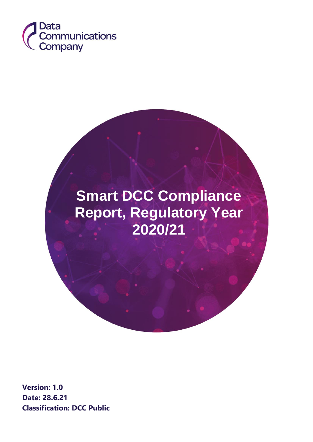

# **Smart DCC Compliance Report, Regulatory Year 2020/21**

**Version: 1.0 Date: 28.6.21 Classification: DCC Public**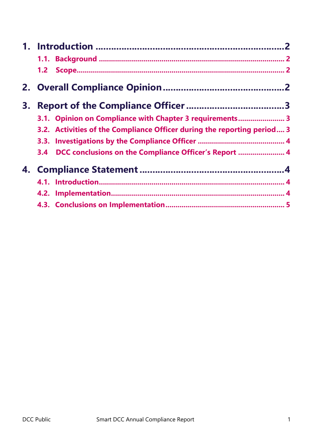|    | 1.2                                                                     |  |
|----|-------------------------------------------------------------------------|--|
|    |                                                                         |  |
| З. |                                                                         |  |
|    | 3.1. Opinion on Compliance with Chapter 3 requirements 3                |  |
|    | 3.2. Activities of the Compliance Officer during the reporting period 3 |  |
|    |                                                                         |  |
|    | DCC conclusions on the Compliance Officer's Report  4<br>3.4            |  |
|    |                                                                         |  |
|    |                                                                         |  |
|    |                                                                         |  |
|    |                                                                         |  |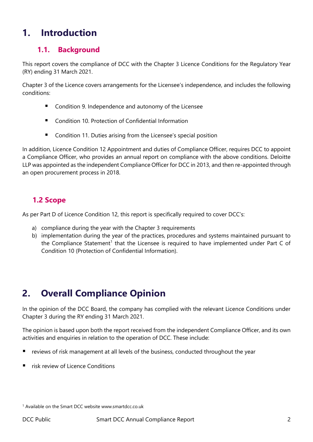## <span id="page-2-0"></span>**1. Introduction**

#### <span id="page-2-1"></span>**1.1. Background**

This report covers the compliance of DCC with the Chapter 3 Licence Conditions for the Regulatory Year (RY) ending 31 March 2021.

Chapter 3 of the Licence covers arrangements for the Licensee's independence, and includes the following conditions:

- Condition 9. Independence and autonomy of the Licensee
- Condition 10. Protection of Confidential Information
- Condition 11. Duties arising from the Licensee's special position

In addition, Licence Condition 12 Appointment and duties of Compliance Officer, requires DCC to appoint a Compliance Officer, who provides an annual report on compliance with the above conditions. Deloitte LLP was appointed as the independent Compliance Officer for DCC in 2013, and then re-appointed through an open procurement process in 2018.

## <span id="page-2-2"></span> **1.2 Scope**

As per Part D of Licence Condition 12, this report is specifically required to cover DCC's:

- a) compliance during the year with the Chapter 3 requirements
- b) implementation during the year of the practices, procedures and systems maintained pursuant to the Compliance Statement<sup>1</sup> that the Licensee is required to have implemented under Part C of Condition 10 (Protection of Confidential Information).

# <span id="page-2-3"></span>**2. Overall Compliance Opinion**

In the opinion of the DCC Board, the company has complied with the relevant Licence Conditions under Chapter 3 during the RY ending 31 March 2021.

The opinion is based upon both the report received from the independent Compliance Officer, and its own activities and enquiries in relation to the operation of DCC. These include:

- reviews of risk management at all levels of the business, conducted throughout the year
- risk review of Licence Conditions

<sup>1</sup> Available on the Smart DCC website www.smartdcc.co.uk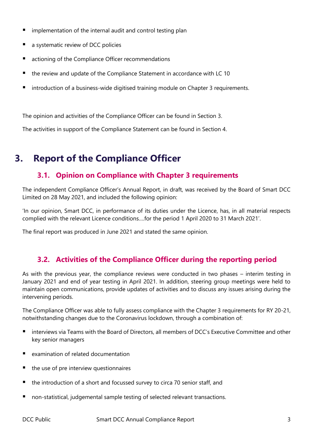- $\blacksquare$  implementation of the internal audit and control testing plan
- a systematic review of DCC policies
- actioning of the Compliance Officer recommendations
- the review and update of the Compliance Statement in accordance with LC 10
- introduction of a business-wide digitised training module on Chapter 3 requirements.

The opinion and activities of the Compliance Officer can be found in Section 3.

The activities in support of the Compliance Statement can be found in Section 4.

## <span id="page-3-0"></span>**3. Report of the Compliance Officer**

#### <span id="page-3-1"></span>**3.1. Opinion on Compliance with Chapter 3 requirements**

The independent Compliance Officer's Annual Report, in draft, was received by the Board of Smart DCC Limited on 28 May 2021, and included the following opinion:

'In our opinion, Smart DCC, in performance of its duties under the Licence, has, in all material respects complied with the relevant Licence conditions….for the period 1 April 2020 to 31 March 2021'.

The final report was produced in June 2021 and stated the same opinion.

#### <span id="page-3-2"></span>**3.2. Activities of the Compliance Officer during the reporting period**

As with the previous year, the compliance reviews were conducted in two phases – interim testing in January 2021 and end of year testing in April 2021. In addition, steering group meetings were held to maintain open communications, provide updates of activities and to discuss any issues arising during the intervening periods.

The Compliance Officer was able to fully assess compliance with the Chapter 3 requirements for RY 20-21, notwithstanding changes due to the Coronavirus lockdown, through a combination of:

- $\blacksquare$  interviews via Teams with the Board of Directors, all members of DCC's Executive Committee and other key senior managers
- examination of related documentation
- the use of pre interview questionnaires
- $\blacksquare$  the introduction of a short and focussed survey to circa 70 senior staff, and
- non-statistical, judgemental sample testing of selected relevant transactions.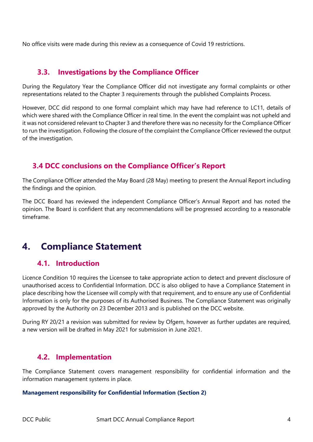No office visits were made during this review as a consequence of Covid 19 restrictions.

#### <span id="page-4-0"></span>**3.3. Investigations by the Compliance Officer**

During the Regulatory Year the Compliance Officer did not investigate any formal complaints or other representations related to the Chapter 3 requirements through the published Complaints Process.

However, DCC did respond to one formal complaint which may have had reference to LC11, details of which were shared with the Compliance Officer in real time. In the event the complaint was not upheld and it was not considered relevant to Chapter 3 and therefore there was no necessity for the Compliance Officer to run the investigation. Following the closure of the complaint the Compliance Officer reviewed the output of the investigation.

## <span id="page-4-1"></span> **3.4 DCC conclusions on the Compliance Officer's Report**

The Compliance Officer attended the May Board (28 May) meeting to present the Annual Report including the findings and the opinion.

The DCC Board has reviewed the independent Compliance Officer's Annual Report and has noted the opinion. The Board is confident that any recommendations will be progressed according to a reasonable timeframe.

## <span id="page-4-2"></span>**4. Compliance Statement**

#### <span id="page-4-3"></span>**4.1. Introduction**

Licence Condition 10 requires the Licensee to take appropriate action to detect and prevent disclosure of unauthorised access to Confidential Information. DCC is also obliged to have a Compliance Statement in place describing how the Licensee will comply with that requirement, and to ensure any use of Confidential Information is only for the purposes of its Authorised Business. The Compliance Statement was originally approved by the Authority on 23 December 2013 and is published on the DCC website.

During RY 20/21 a revision was submitted for review by Ofgem, however as further updates are required, a new version will be drafted in May 2021 for submission in June 2021.

#### <span id="page-4-4"></span>**4.2. Implementation**

The Compliance Statement covers management responsibility for confidential information and the information management systems in place.

#### **Management responsibility for Confidential Information (Section 2)**